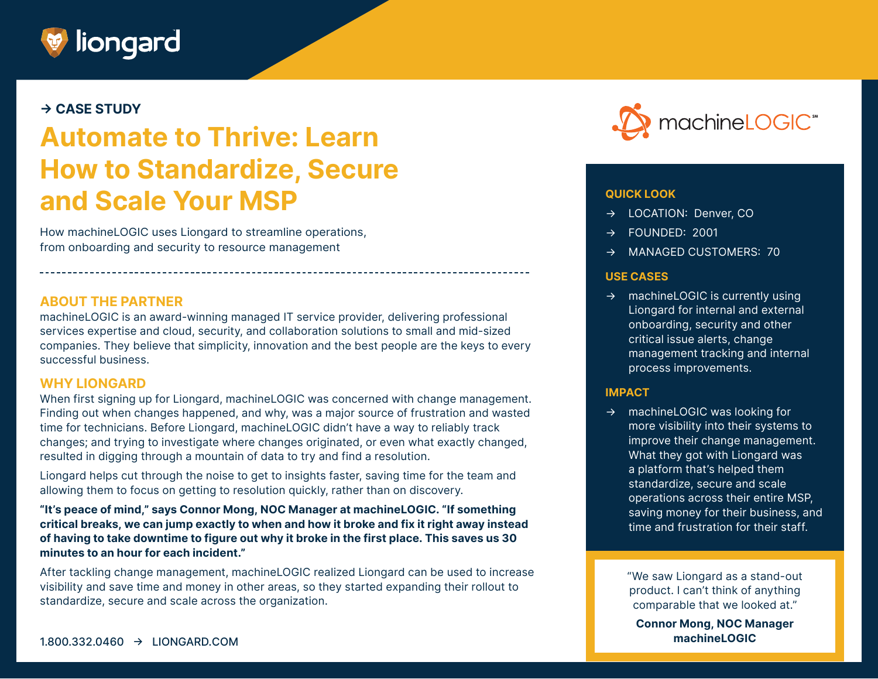

# **→ CASE STUDY**

# **Automate to Thrive: Learn How to Standardize, Secure and Scale Your MSP**

How machineLOGIC uses Liongard to streamline operations, from onboarding and security to resource management

#### **ABOUT THE PARTNER**

machineLOGIC is an award-winning managed IT service provider, delivering professional services expertise and cloud, security, and collaboration solutions to small and mid-sized companies. They believe that simplicity, innovation and the best people are the keys to every successful business.

#### **WHY LIONGARD**

When first signing up for Liongard, machineLOGIC was concerned with change management. Finding out when changes happened, and why, was a major source of frustration and wasted time for technicians. Before Liongard, machineLOGIC didn't have a way to reliably track changes; and trying to investigate where changes originated, or even what exactly changed, resulted in digging through a mountain of data to try and find a resolution.

Liongard helps cut through the noise to get to insights faster, saving time for the team and allowing them to focus on getting to resolution quickly, rather than on discovery.

**"It's peace of mind," says Connor Mong, NOC Manager at machineLOGIC. "If something critical breaks, we can jump exactly to when and how it broke and fix it right away instead of having to take downtime to figure out why it broke in the first place. This saves us 30 minutes to an hour for each incident."**

After tackling change management, machineLOGIC realized Liongard can be used to increase visibility and save time and money in other areas, so they started expanding their rollout to standardize, secure and scale across the organization.



#### **QUICK LOOK**

- → LOCATION: Denver, CO
- → FOUNDED: 2001
- → MANAGED CUSTOMERS: 70

#### **USE CASES**

→ machineLOGIC is currently using Liongard for internal and external onboarding, security and other critical issue alerts, change management tracking and internal process improvements.

#### **IMPACT**

→ machineLOGIC was looking for more visibility into their systems to improve their change management. What they got with Liongard was a platform that's helped them standardize, secure and scale operations across their entire MSP, saving money for their business, and time and frustration for their staff.

> "We saw Liongard as a stand-out product. I can't think of anything comparable that we looked at."

**Connor Mong, NOC Manager machineLOGIC**